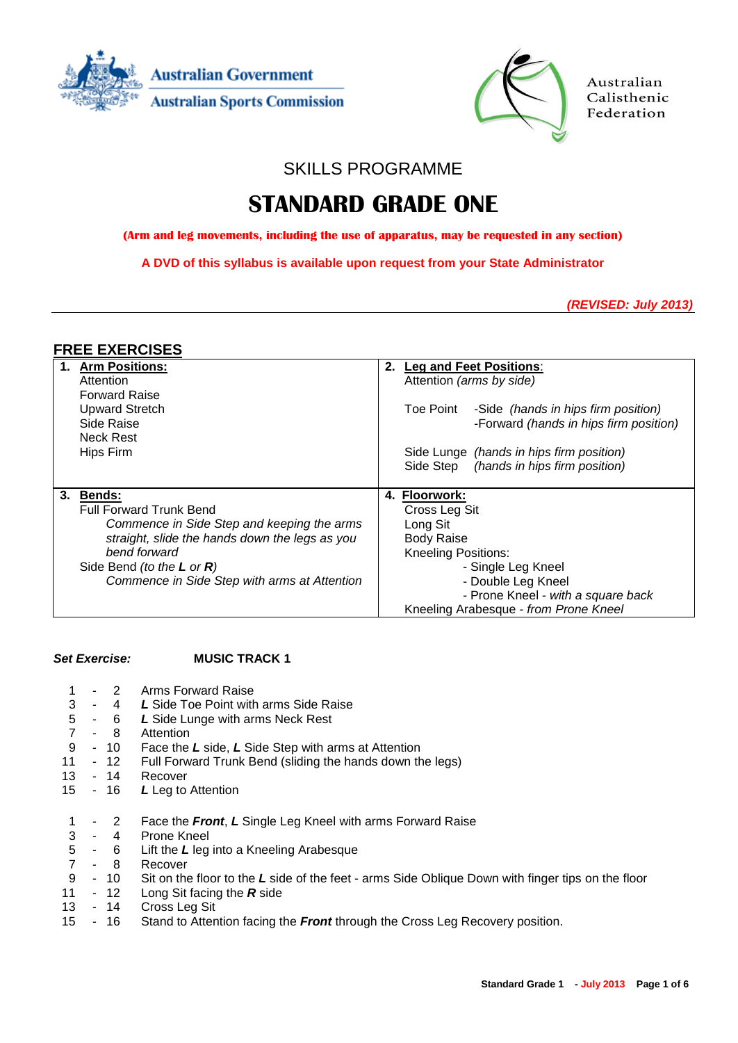



Australian Calisthenic Federation

SKILLS PROGRAMME

# **STANDARD GRADE ONE**

**(Arm and leg movements, including the use of apparatus, may be requested in any section)**

**A DVD of this syllabus is available upon request from your State Administrator**

*(REVISED: July 2013)*

# **FREE EXERCISES**

| 1. Arm Positions:                              | <b>Leg and Feet Positions:</b><br>2.          |
|------------------------------------------------|-----------------------------------------------|
| Attention                                      | Attention (arms by side)                      |
| <b>Forward Raise</b>                           |                                               |
| <b>Upward Stretch</b>                          | Toe Point -Side (hands in hips firm position) |
| Side Raise                                     | -Forward (hands in hips firm position)        |
| <b>Neck Rest</b>                               |                                               |
| Hips Firm                                      | Side Lunge (hands in hips firm position)      |
|                                                | Side Step (hands in hips firm position)       |
|                                                |                                               |
| 3.<br><b>Bends:</b>                            | <b>Floorwork:</b><br>4.                       |
| <b>Full Forward Trunk Bend</b>                 | Cross Leg Sit                                 |
| Commence in Side Step and keeping the arms     | Long Sit                                      |
| straight, slide the hands down the legs as you | <b>Body Raise</b>                             |
| bend forward                                   | <b>Kneeling Positions:</b>                    |
| Side Bend (to the $L$ or $R$ )                 | - Single Leg Kneel                            |
| Commence in Side Step with arms at Attention   | - Double Leg Kneel                            |
|                                                | - Prone Kneel - with a square back            |
|                                                | Kneeling Arabesque - from Prone Kneel         |

### *Set Exercise:* **MUSIC TRACK 1**

| 3<br>5 <sup>5</sup><br>$\overline{7}$<br>9<br>11 | $\sim 100$ | $\overline{2}$<br>4<br>$-6$<br>$-8$<br>$-10$<br>- 12<br>13 - 14 | Arms Forward Raise<br>L Side Toe Point with arms Side Raise<br>L Side Lunge with arms Neck Rest<br>Attention<br>Face the L side, L Side Step with arms at Attention<br>Full Forward Trunk Bend (sliding the hands down the legs)<br>Recover |
|--------------------------------------------------|------------|-----------------------------------------------------------------|---------------------------------------------------------------------------------------------------------------------------------------------------------------------------------------------------------------------------------------------|
| 15                                               |            |                                                                 | - 16 $L$ Leg to Attention                                                                                                                                                                                                                   |
|                                                  |            |                                                                 |                                                                                                                                                                                                                                             |
|                                                  |            | $-2$                                                            | Face the Front, L Single Leg Kneel with arms Forward Raise                                                                                                                                                                                  |
|                                                  |            | $3 - 4$                                                         | Prone Kneel                                                                                                                                                                                                                                 |
|                                                  |            | $5 - 6$                                                         | Lift the $L$ leg into a Kneeling Arabesque                                                                                                                                                                                                  |
| $7^{\circ}$                                      |            | $-8$                                                            | Recover                                                                                                                                                                                                                                     |
| 9                                                |            | $-10$                                                           | Sit on the floor to the L side of the feet - arms Side Oblique Down with finger tips on the floor                                                                                                                                           |
| 11                                               |            | - 12                                                            | Long Sit facing the $R$ side                                                                                                                                                                                                                |
| 13                                               |            | - 14<br>$-16$                                                   | Cross Leg Sit                                                                                                                                                                                                                               |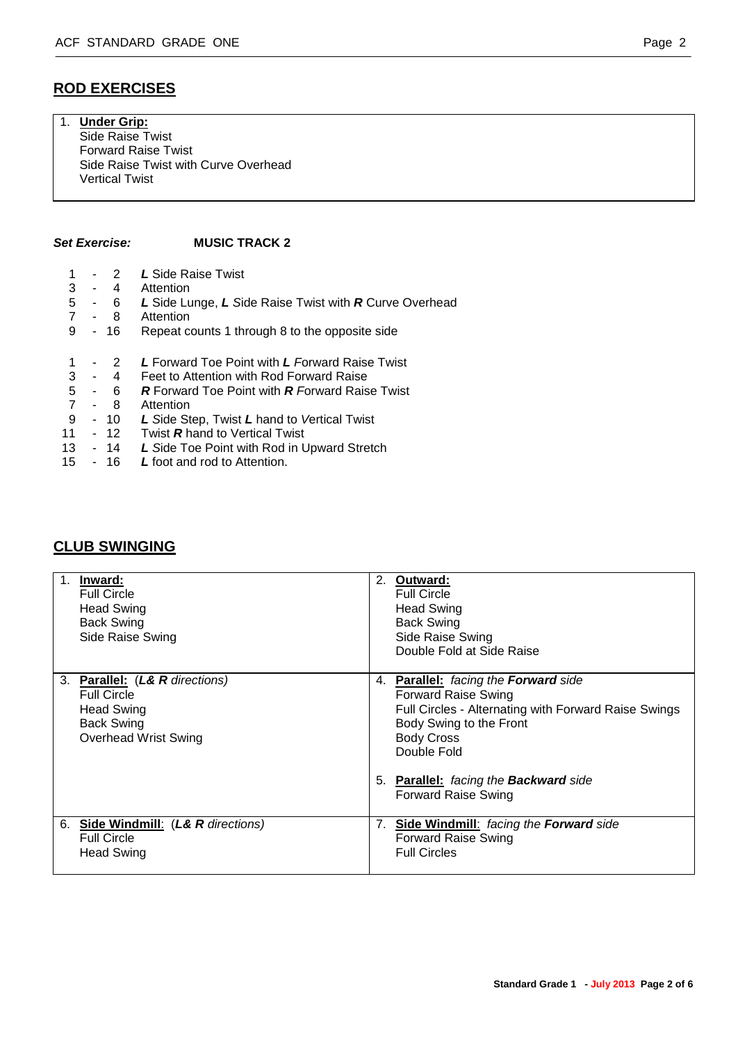# 1. **Under Grip:**

Side Raise Twist Forward Raise Twist Side Raise Twist with Curve Overhead Vertical Twist

#### *Set Exercise:* **MUSIC TRACK 2**

- 1 2 *L* Side Raise Twist 3 - 4 Attention
- 5 6 *L* Side Lunge, *L S*ide Raise Twist with *R* Curve Overhead
- 7 8 Attention
- 9 16 Repeat counts 1 through 8 to the opposite side
- 1 2 *L* Forward Toe Point with *L F*orward Raise Twist
- 3 4 Feet to Attention with Rod Forward Raise<br>5 6 **R** Forward Toe Point with **R** Forward Rais
- 5 6 *R* Forward Toe Point with *R F*orward Raise Twist
- 7 8 Attention<br>9 10 *L* Side St
- 9 10 *L S*ide Step, Twist *L* hand to *V*ertical Twist
- 11 12 Twist *R* hand to Vertical Twist
- 13 14 *L S*ide Toe Point with Rod in Upward Stretch
- 15 16 *L* foot and rod to Attention.

# **CLUB SWINGING**

| $\overline{1}$ .<br>Inward:<br><b>Full Circle</b><br><b>Head Swing</b><br><b>Back Swing</b><br>Side Raise Swing               | 2.<br>Outward:<br><b>Full Circle</b><br><b>Head Swing</b><br><b>Back Swing</b><br>Side Raise Swing<br>Double Fold at Side Raise                                                                                                                     |
|-------------------------------------------------------------------------------------------------------------------------------|-----------------------------------------------------------------------------------------------------------------------------------------------------------------------------------------------------------------------------------------------------|
| 3. Parallel: (L& R directions)<br><b>Full Circle</b><br><b>Head Swing</b><br><b>Back Swing</b><br><b>Overhead Wrist Swing</b> | <b>Parallel:</b> facing the <b>Forward</b> side<br>4.<br><b>Forward Raise Swing</b><br>Full Circles - Alternating with Forward Raise Swings<br>Body Swing to the Front<br><b>Body Cross</b><br>Double Fold<br>5. Parallel: facing the Backward side |
|                                                                                                                               | <b>Forward Raise Swing</b>                                                                                                                                                                                                                          |
| 6. Side Windmill: (L& R directions)<br><b>Full Circle</b><br><b>Head Swing</b>                                                | <b>Side Windmill:</b> facing the Forward side<br>7.<br><b>Forward Raise Swing</b><br><b>Full Circles</b>                                                                                                                                            |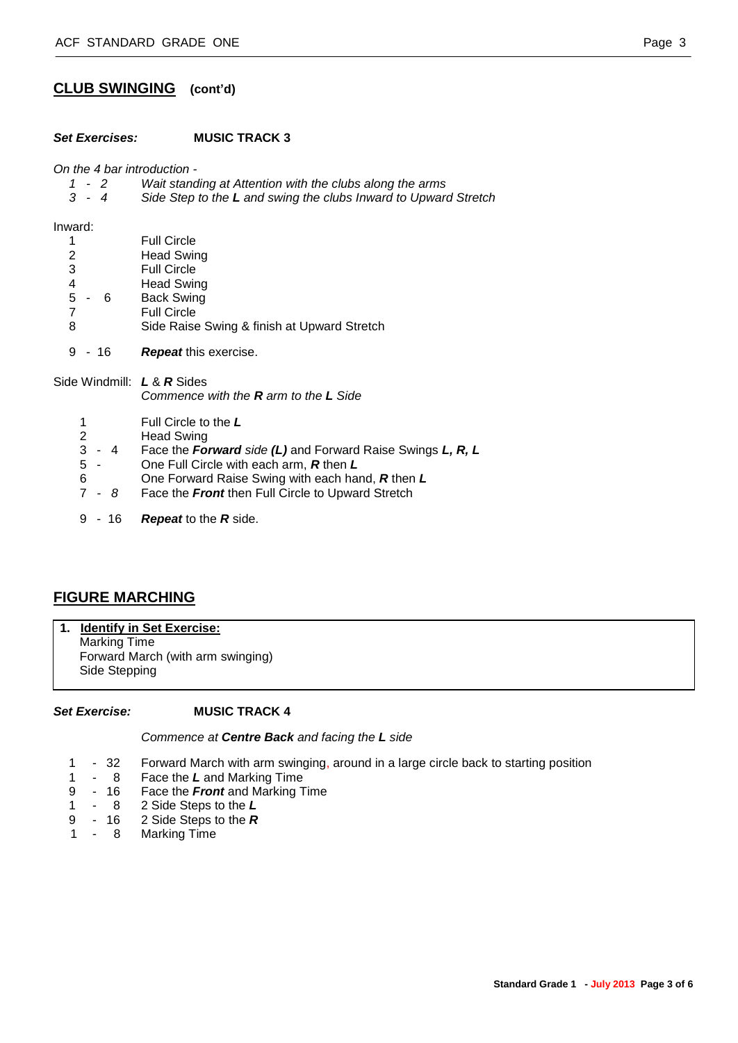# **CLUB SWINGING (cont'd)**

#### *Set Exercises:* **MUSIC TRACK 3**

*On the 4 bar introduction -*

- *1 - 2 Wait standing at Attention with the clubs along the arms*
- *3 - 4 Side Step to the L and swing the clubs Inward to Upward Stretch*

Inward:

|    |   |   | <b>Full Circle</b>                          |
|----|---|---|---------------------------------------------|
| 2  |   |   | <b>Head Swing</b>                           |
| 3  |   |   | <b>Full Circle</b>                          |
| 4  |   |   | <b>Head Swing</b>                           |
| -5 | ٠ | 6 | <b>Back Swing</b>                           |
|    |   |   | <b>Full Circle</b>                          |
| 8  |   |   | Side Raise Swing & finish at Upward Stretch |
|    |   |   |                                             |

9 - 16 *Repeat* this exercise.

Side Windmill: *L* & *R* Sides *Commence with the R arm to the L Side*

- 1 Full Circle to the *L*
- 2 Head Swing<br>3 4 Face the Fo
- 3 4 Face the *Forward side (L)* and Forward Raise Swings *L, R, L*
- 5 One Full Circle with each arm, *R* then *L*
- 6 One Forward Raise Swing with each hand, *R* then *L*
- 7 *8* Face the *Front* then Full Circle to Upward Stretch
- 9 16 *Repeat* to the *R* side.

# **FIGURE MARCHING**

**1. Identify in Set Exercise:** Marking Time

Forward March (with arm swinging) Side Stepping

#### *Set Exercise:* **MUSIC TRACK 4**

*Commence at Centre Back and facing the L side*

- 1 32 Forward March with arm swinging, around in a large circle back to starting position
- 1 8 Face the *L* and Marking Time
- 9 16 Face the *Front* and Marking Time
- 1 8 2 Side Steps to the *L*
- 9 16 2 Side Steps to the *R*
- 1 8 Marking Time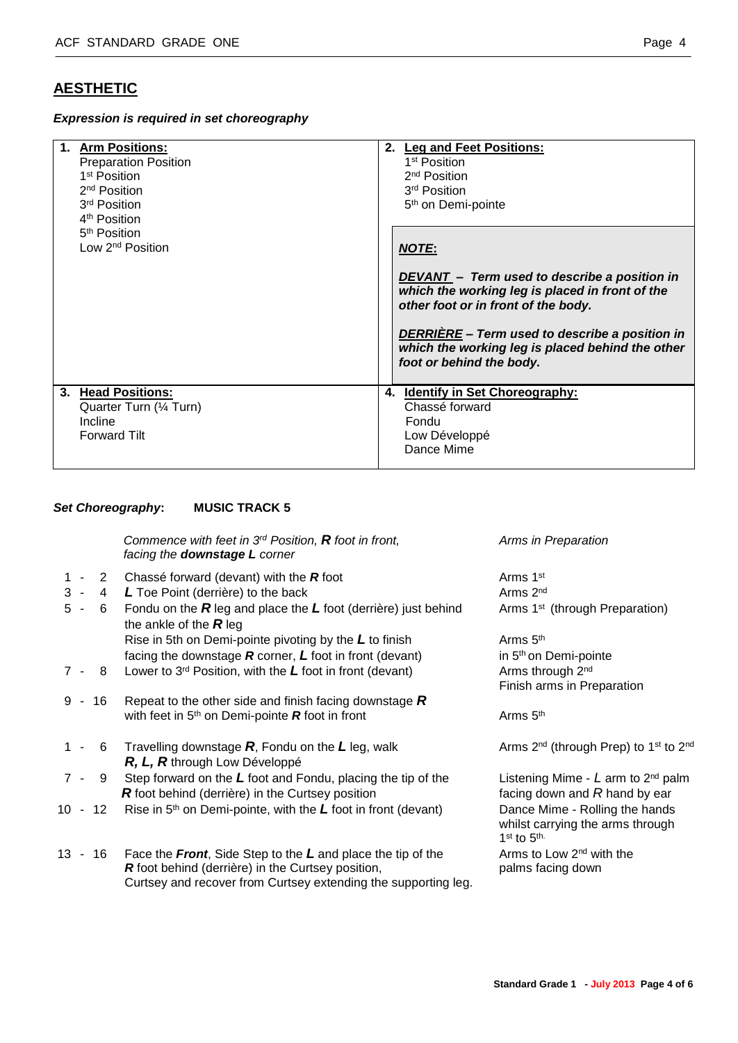# **AESTHETIC**

*Expression is required in set choreography*

| 1. Arm Positions:<br><b>Preparation Position</b><br>1 <sup>st</sup> Position<br>2 <sup>nd</sup> Position<br>3 <sup>rd</sup> Position<br>4 <sup>th</sup> Position |    | 2. Leg and Feet Positions:<br>1 <sup>st</sup> Position<br>2 <sup>nd</sup> Position<br>3 <sup>rd</sup> Position<br>5 <sup>th</sup> on Demi-pointe |
|------------------------------------------------------------------------------------------------------------------------------------------------------------------|----|--------------------------------------------------------------------------------------------------------------------------------------------------|
| 5 <sup>th</sup> Position<br>Low 2 <sup>nd</sup> Position                                                                                                         |    | <b>NOTE:</b>                                                                                                                                     |
|                                                                                                                                                                  |    | DEVANT - Term used to describe a position in<br>which the working leg is placed in front of the<br>other foot or in front of the body.           |
|                                                                                                                                                                  |    | DERRIÈRE - Term used to describe a position in<br>which the working leg is placed behind the other<br>foot or behind the body.                   |
| 3. Head Positions:<br>Quarter Turn (1/4 Turn)                                                                                                                    | 4. | <b>Identify in Set Choreography:</b><br>Chassé forward                                                                                           |
| Incline<br><b>Forward Tilt</b>                                                                                                                                   |    | Fondu<br>Low Développé<br>Dance Mime                                                                                                             |

#### *Set Choreography***: MUSIC TRACK 5**

*Commence with feet in 3rd Position, R foot in front, Arms in Preparation facing the downstage L corner*

- 1 2 Chassé forward (devant) with the **R** foot Arms 1<sup>st</sup>
- 3 4 *L* Toe Point (derrière) to the back Arms 2<sup>nd</sup> Arms 2<sup>nd</sup>
- 5 6 Fondu on the *R* leg and place the *L* foot (derrière) just behind Arms 1st (through Preparation) the ankle of the *R* leg Rise in 5th on Demi-pointe pivoting by the L to finish Arms 5<sup>th</sup>
- facing the downstage *R* corner, *L* foot in front (devant) in 5<sup>th</sup> on Demi-pointe
- 7 8 Lower to 3<sup>rd</sup> Position, with the L foot in front (devant) Arms through 2<sup>nd</sup>
- 9 16 Repeat to the other side and finish facing downstage *R* with feet in 5<sup>th</sup> on Demi-pointe **R** foot in front Arms 5<sup>th</sup>
- 1 6 Travelling downstage **R**, Fondu on the L leg, walk Arms 2<sup>nd</sup> (through Prep) to 1<sup>st</sup> to 2<sup>nd</sup> *R, L, R* through Low Développé
- 7 9 Step forward on the *L* foot and Fondu, placing the tip of the Listening Mime *L* arm to 2nd palm *R* foot behind (derrière) in the Curtsey position facing down and *R* hand by ear
- 10 12 Rise in 5th on Demi-pointe, with the *L* foot in front (devant) Dance Mime Rolling the hands
- 13 16 Face the *Front*, Side Step to the *L* and place the tip of the Arms to Low 2nd with the *R* foot behind (derrière) in the Curtsey position, palms facing down Curtsey and recover from Curtsey extending the supporting leg.

Finish arms in Preparation

 whilst carrying the arms through 1<sup>st</sup> to 5<sup>th.</sup>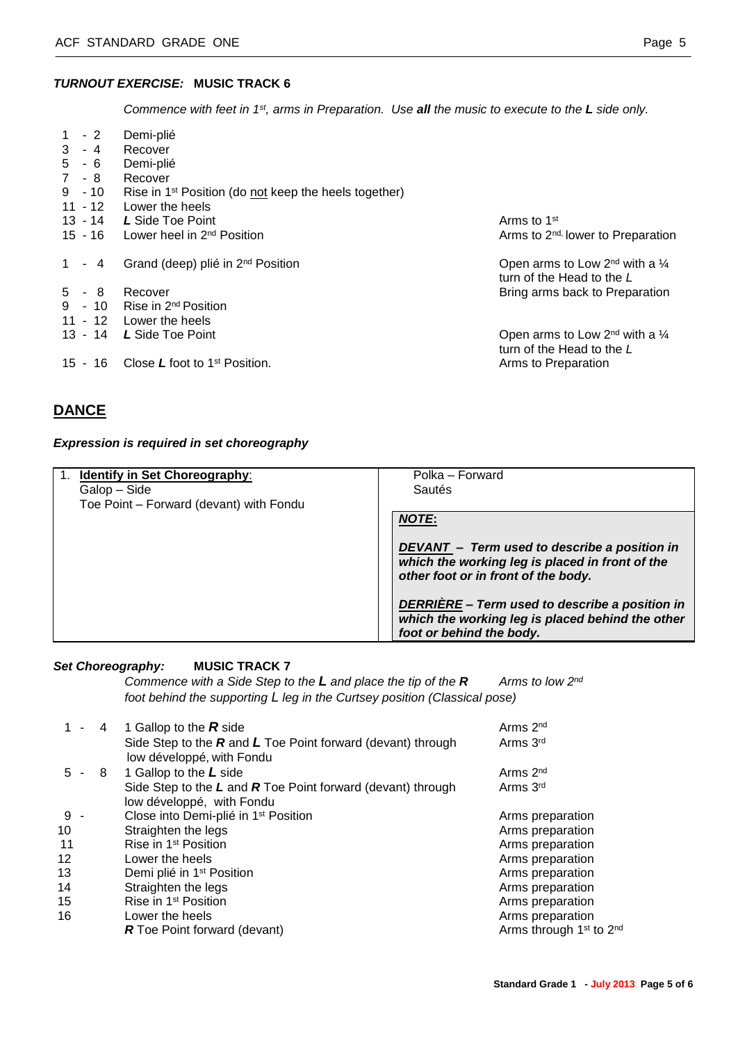### *TURNOUT EXERCISE:* **MUSIC TRACK 6**

*Commence with feet in 1st, arms in Preparation. Use all the music to execute to the L side only.*

| $1 - 2$<br>$3 - 4$   | Demi-plié<br>Recover                                              |                                                                             |
|----------------------|-------------------------------------------------------------------|-----------------------------------------------------------------------------|
| $5 - 6$              | Demi-plié                                                         |                                                                             |
| 7 - 8                | Recover                                                           |                                                                             |
| $9 - 10$             | Rise in 1 <sup>st</sup> Position (do not keep the heels together) |                                                                             |
| $11 - 12$            | Lower the heels                                                   |                                                                             |
| 13 - 14              | L Side Toe Point                                                  | Arms to 1 <sup>st</sup>                                                     |
| 15 - 16              | Lower heel in 2 <sup>nd</sup> Position                            | Arms to 2 <sup>nd,</sup> lower to Preparation                               |
|                      |                                                                   |                                                                             |
| $\mathbf{1}$<br>$-4$ | Grand (deep) plié in 2 <sup>nd</sup> Position                     | Open arms to Low $2^{nd}$ with a $\frac{1}{4}$<br>turn of the Head to the L |
| $5 - 8$              | Recover                                                           | Bring arms back to Preparation                                              |
| $9 - 10$             | Rise in 2 <sup>nd</sup> Position                                  |                                                                             |
|                      | 11 - 12 Lower the heels                                           |                                                                             |
|                      | 13 - 14 L Side Toe Point                                          | Open arms to Low $2^{nd}$ with a $\frac{1}{4}$                              |
|                      |                                                                   | turn of the Head to the L                                                   |
| $15 - 16$            | Close L foot to 1 <sup>st</sup> Position.                         | Arms to Preparation                                                         |

# **DANCE**

# *Expression is required in set choreography*

| <b>Identify in Set Choreography:</b>    | Polka – Forward                                                                                                                        |
|-----------------------------------------|----------------------------------------------------------------------------------------------------------------------------------------|
| Galop – Side                            | Sautés                                                                                                                                 |
| Toe Point - Forward (devant) with Fondu |                                                                                                                                        |
|                                         | <b>NOTE:</b>                                                                                                                           |
|                                         | DEVANT - Term used to describe a position in<br>which the working leg is placed in front of the<br>other foot or in front of the body. |
|                                         | DERRIÈRE - Term used to describe a position in<br>which the working leg is placed behind the other<br>foot or behind the body.         |

# *Set Choreography:* **MUSIC TRACK 7**

*Commence with a Side Step to the L and place the tip of the R Arms to low 2nd foot behind the supporting L leg in the Curtsey position (Classical pose)*

| $1 -$   | 4   | 1 Gallop to the $R$ side                                                                     | Arms 2 <sup>nd</sup>                            |
|---------|-----|----------------------------------------------------------------------------------------------|-------------------------------------------------|
|         |     | Side Step to the $R$ and $L$ Toe Point forward (devant) through<br>low développé, with Fondu | Arms 3rd                                        |
| $5 -$   | - 8 | 1 Gallop to the L side                                                                       | Arms $2nd$                                      |
|         |     | Side Step to the $L$ and $R$ Toe Point forward (devant) through                              | Arms 3rd                                        |
|         |     | low développé, with Fondu                                                                    |                                                 |
| 9 -     |     | Close into Demi-plié in 1 <sup>st</sup> Position                                             | Arms preparation                                |
| 10      |     | Straighten the legs                                                                          | Arms preparation                                |
| 11      |     | Rise in 1 <sup>st</sup> Position                                                             | Arms preparation                                |
| $12 \,$ |     | Lower the heels                                                                              | Arms preparation                                |
| 13      |     | Demi plié in 1 <sup>st</sup> Position                                                        | Arms preparation                                |
| 14      |     | Straighten the legs                                                                          | Arms preparation                                |
| 15      |     | Rise in 1 <sup>st</sup> Position                                                             | Arms preparation                                |
| 16      |     | Lower the heels                                                                              | Arms preparation                                |
|         |     | <b>R</b> Toe Point forward (devant)                                                          | Arms through 1 <sup>st</sup> to 2 <sup>nd</sup> |